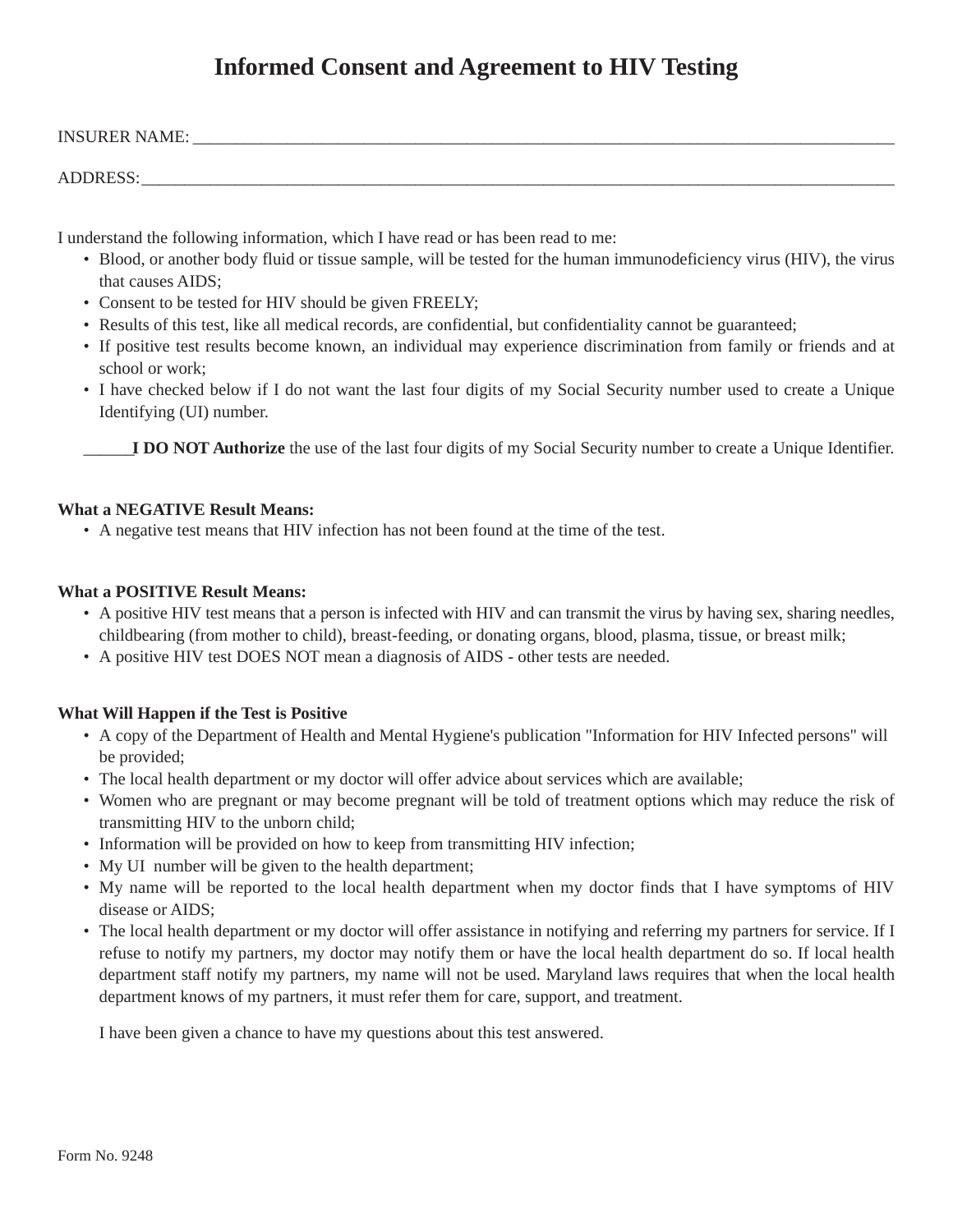# **Informed Consent and Agreement to HIV Testing**

INSURER NAME: \_\_\_\_\_\_\_\_\_\_\_\_\_\_\_\_\_\_\_\_\_\_\_\_\_\_\_\_\_\_\_\_\_\_\_\_\_\_\_\_\_\_\_\_\_\_\_\_\_\_\_\_\_\_\_\_\_\_\_\_\_\_\_\_\_\_\_\_\_\_\_\_\_\_\_\_\_\_\_\_\_\_

ADDRESS:

I understand the following information, which I have read or has been read to me:

- Blood, or another body fluid or tissue sample, will be tested for the human immunodeficiency virus (HIV), the virus that causes AIDS;
- Consent to be tested for HIV should be given FREELY;
- Results of this test, like all medical records, are confidential, but confidentiality cannot be guaranteed;
- If positive test results become known, an individual may experience discrimination from family or friends and at school or work;
- I have checked below if I do not want the last four digits of my Social Security number used to create a Unique Identifying (UI) number.

\_\_\_\_\_\_**I DO NOT Authorize** the use of the last four digits of my Social Security number to create a Unique Identifier.

### **What a NEGATIVE Result Means:**

• A negative test means that HIV infection has not been found at the time of the test.

### **What a POSITIVE Result Means:**

- A positive HIV test means that a person is infected with HIV and can transmit the virus by having sex, sharing needles, childbearing (from mother to child), breast-feeding, or donating organs, blood, plasma, tissue, or breast milk;
- A positive HIV test DOES NOT mean a diagnosis of AIDS other tests are needed.

## **What Will Happen if the Test is Positive**

- A copy of the Department of Health and Mental Hygiene's publication "Information for HIV Infected persons" will be provided;
- The local health department or my doctor will offer advice about services which are available;
- Women who are pregnant or may become pregnant will be told of treatment options which may reduce the risk of transmitting HIV to the unborn child;
- Information will be provided on how to keep from transmitting HIV infection;
- My UI number will be given to the health department;
- My name will be reported to the local health department when my doctor finds that I have symptoms of HIV disease or AIDS;
- The local health department or my doctor will offer assistance in notifying and referring my partners for service. If I refuse to notify my partners, my doctor may notify them or have the local health department do so. If local health department staff notify my partners, my name will not be used. Maryland laws requires that when the local health department knows of my partners, it must refer them for care, support, and treatment.

I have been given a chance to have my questions about this test answered.